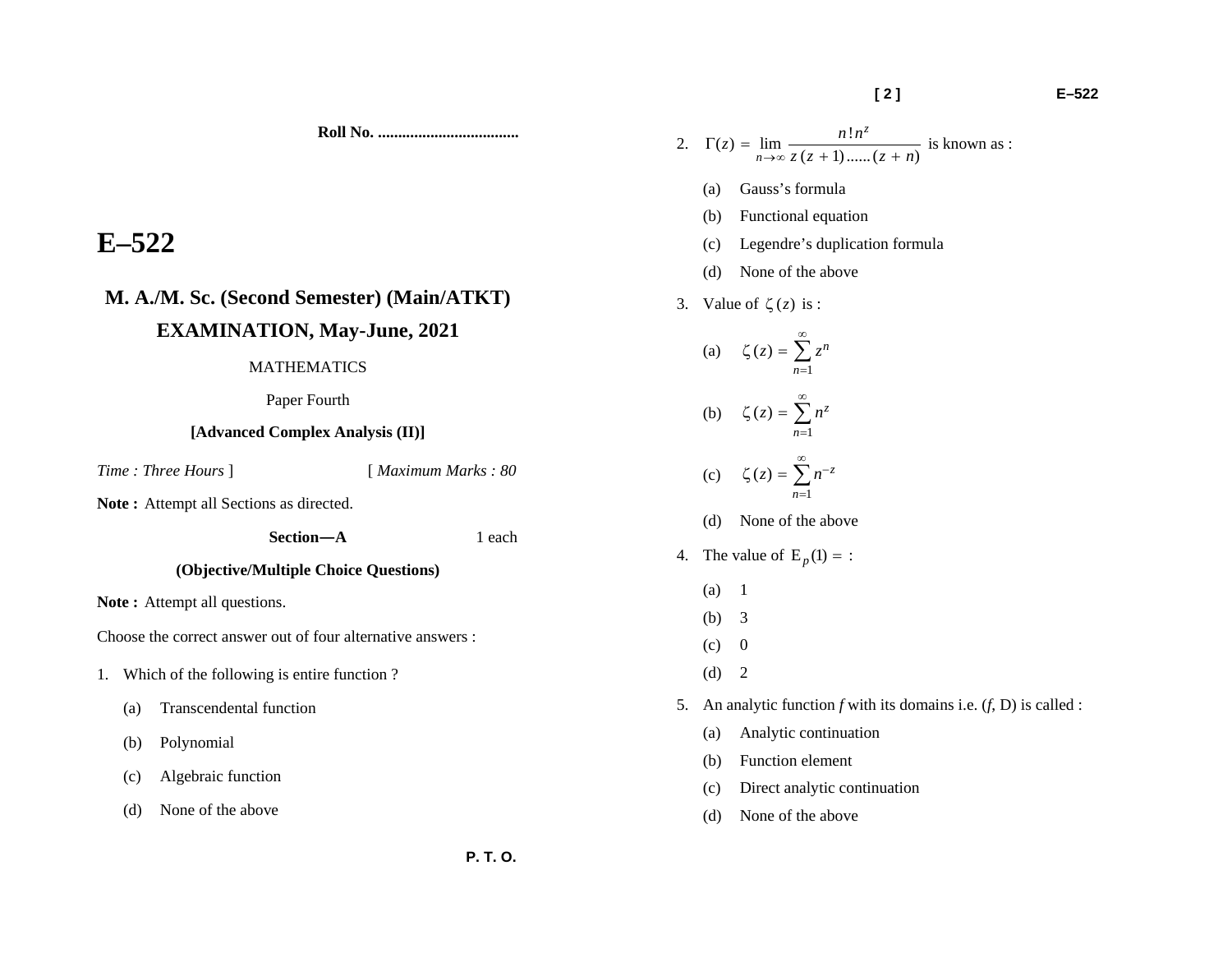**Roll No. ...................................** 

# **E–522**

## **M. A./M. Sc. (Second Semester) (Main/ATKT) EXAMINATION, May-June, 2021**

#### MATHEMATICS

Paper Fourth

#### **[Advanced Complex Analysis (II)]**

*Time : Three Hours* ] [ *Maximum Marks : 80* 

Note: Attempt all Sections as directed.

 **Section—A** 1 each

## **(Objective/Multiple Choice Questions)**

Note: Attempt all questions.

Choose the correct answer out of four alternative answers :

- 1. Which of the following is entire function ?
	- (a) Transcendental function
	- (b) Polynomial
	- (c) Algebraic function
	- (d) None of the above

2. 
$$
\Gamma(z) = \lim_{n \to \infty} \frac{n! n^z}{z (z + 1) \dots (z + n)}
$$
 is known as :

- (a) Gauss's formula
- (b) Functional equation
- (c) Legendre's duplication formula
- (d) None of the above
- 3. Value of  $\zeta(z)$  is :

(a) 1  $(z) = \sum_{n} z^n$ *n z z* ∞ =  $\zeta \left( z \right) = \sum$ (b) 1  $(z) = \sum n^z$ *n z n* ∞ =  $\zeta \left( z \right) = \sum$ (c) 1 $(z) = \sum n^{-z}$  $\zeta(z) = \sum_{n=0}^{\infty} n^{-n}$ (d) None of the above 4. The value of  $E_p(1) =$ :

- (a) 1
- (b) 3
- $(c)$  0
- $(d) 2$
- 5. An analytic function *f* with its domains i.e. (*f*, D) is called :
	- (a) Analytic continuation
	- (b) Function element
	- (c) Direct analytic continuation
	- (d) None of the above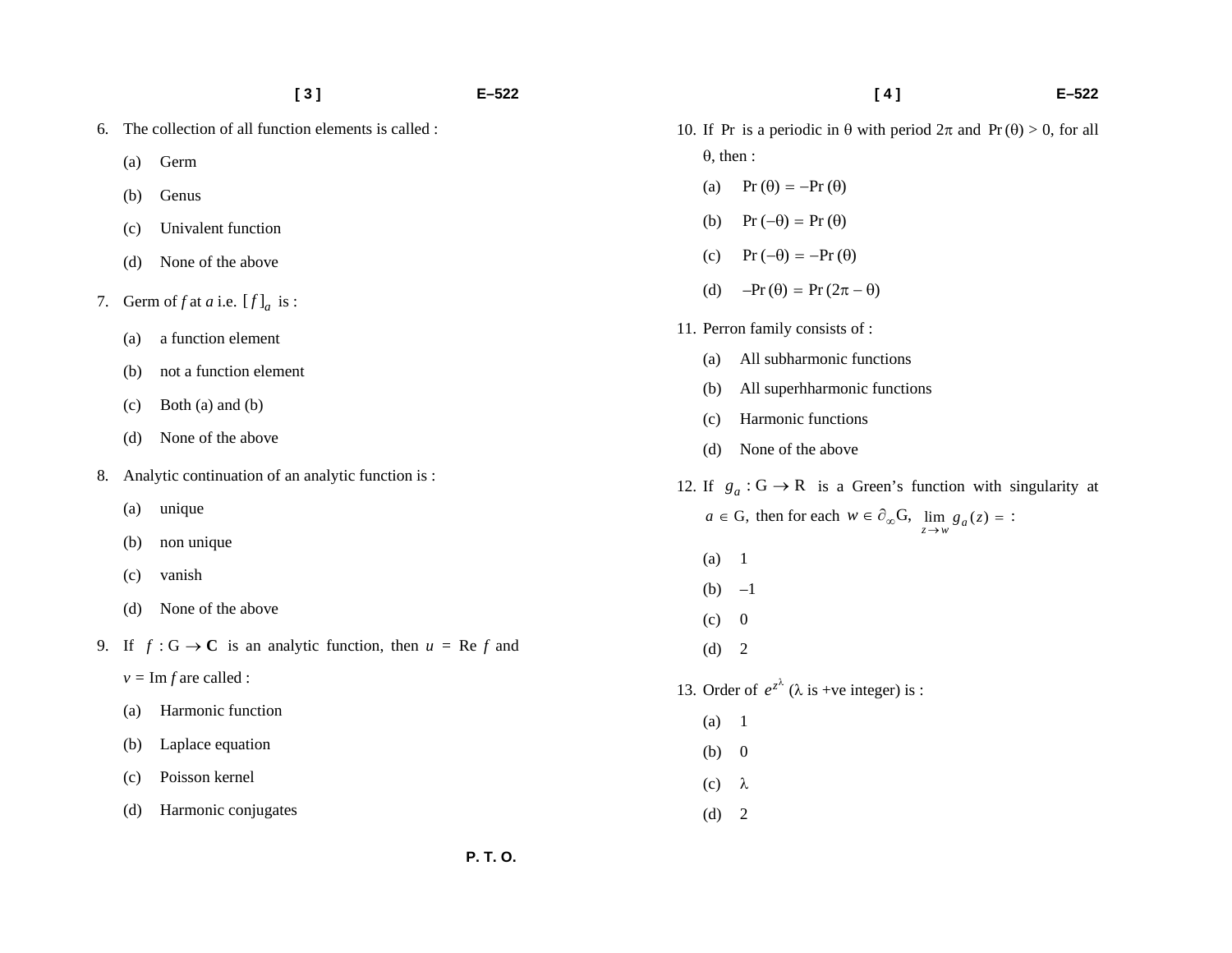|    |     | [3]                                                                              | $E - 522$ | [4]                                                                                    | $E - 522$ |
|----|-----|----------------------------------------------------------------------------------|-----------|----------------------------------------------------------------------------------------|-----------|
| 6. |     | The collection of all function elements is called :                              |           | 10. If Pr is a periodic in $\theta$ with period $2\pi$ and Pr( $\theta$ ) > 0, for all |           |
|    | (a) | Germ                                                                             |           | $\theta$ , then :                                                                      |           |
|    | (b) | Genus                                                                            |           | $Pr(\theta) = -Pr(\theta)$<br>(a)                                                      |           |
|    | (c) | Univalent function                                                               |           | $Pr(-\theta) = Pr(\theta)$<br>(b)                                                      |           |
|    | (d) | None of the above                                                                |           | $Pr(-\theta) = -Pr(\theta)$<br>(c)                                                     |           |
|    |     | 7. Germ of f at a i.e. $[f]_a$ is :                                              |           | $-Pr(\theta) = Pr(2\pi - \theta)$<br>(d)                                               |           |
|    | (a) | a function element                                                               |           | 11. Perron family consists of :                                                        |           |
|    | (b) | not a function element                                                           |           | All subharmonic functions<br>(a)                                                       |           |
|    | (c) | Both (a) and (b)                                                                 |           | All superhharmonic functions<br>(b)                                                    |           |
|    | (d) | None of the above                                                                |           | Harmonic functions<br>(c)                                                              |           |
|    |     | Analytic continuation of an analytic function is:                                |           | None of the above<br>(d)                                                               |           |
| 8. |     |                                                                                  |           | 12. If $g_a$ : $G \rightarrow R$ is a Green's function with singularity at             |           |
|    | (a) | unique                                                                           |           | $a \in G$ , then for each $w \in \partial_{\infty}G$ , $\lim_{z \to w} g_a(z) =$ :     |           |
|    | (b) | non unique                                                                       |           | (a)<br>$\overline{1}$                                                                  |           |
|    | (c) | vanish                                                                           |           | (b) $-1$                                                                               |           |
|    | (d) | None of the above                                                                |           | $\overline{0}$<br>(c)                                                                  |           |
|    |     | 9. If $f: G \to \mathbb{C}$ is an analytic function, then $u = \text{Re } f$ and |           | $\overline{\phantom{a}}$<br>(d)                                                        |           |
|    |     | $v = \text{Im } f$ are called :                                                  |           | 13. Order of $e^{z^{\lambda}}$ ( $\lambda$ is +ve integer) is :                        |           |
|    | (a) | Harmonic function                                                                |           | (a)<br>$\overline{\phantom{0}}$                                                        |           |
|    | (b) | Laplace equation                                                                 |           | (b) 0                                                                                  |           |
|    | (c) | Poisson kernel                                                                   |           | (c)<br>$\lambda$                                                                       |           |
|    | (d) | Harmonic conjugates                                                              |           | (d)<br>$\overline{2}$                                                                  |           |
|    |     |                                                                                  |           |                                                                                        |           |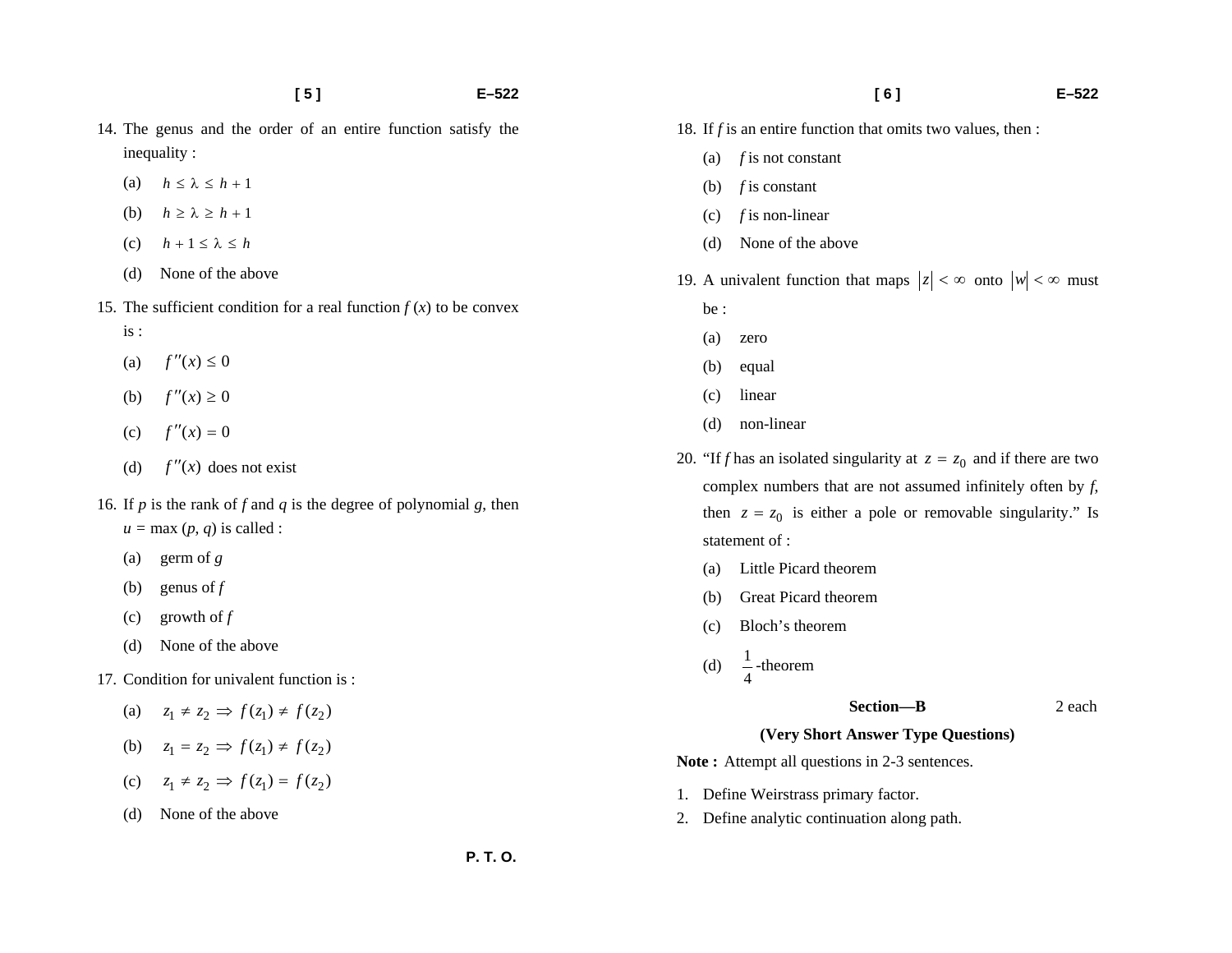- 14. The genus and the order of an entire function satisfy the inequality :
	- (a)  $h \leq \lambda \leq h+1$
	- (b)  $h \ge \lambda \ge h+1$
	- (c)  $h + 1 \leq \lambda \leq h$
	- (d) None of the above
- 15. The sufficient condition for a real function  $f(x)$  to be convex
	- is :
	- (a)  $f''(x) \le 0$
	- (b)  $f''(x) \ge 0$
	- (c)  $f''(x) = 0$
	- (d)  $f''(x)$  does not exist
- 16. If *p* is the rank of *f* and *q* is the degree of polynomial *g*, then  $u = \max(p, q)$  is called :
	- (a) germ of *g*
	- (b) genus of  $f$
	- (c) growth of *f*
	- (d) None of the above
- 17. Condition for univalent function is :
	- (a)  $z_1 \neq z_2 \implies f(z_1) \neq f(z_2)$
	- (**b**)  $z_1 = z_2 \implies f(z_1) \neq f(z_2)$
	- (c)  $z_1 \neq z_2 \Rightarrow f(z_1) = f(z_2)$
	- (d) None of the above
- 18. If *f* is an entire function that omits two values, then :
	- (a) *f* is not constant
	- (b) *f* is constant
	- (c) *f* is non-linear
	- (d) None of the above
- 19. A univalent function that maps  $|z| < \infty$  onto  $|w| < \infty$  must be :
	-
	- (a) zero
	- (b) equal
	- (c) linear
	- (d) non-linear
- 20. "If *f* has an isolated singularity at  $z = z_0$  and if there are two complex numbers that are not assumed infinitely often by *f*, then  $z = z_0$  is either a pole or removable singularity." Is statement of :
	- (a) Little Picard theorem
	- (b) Great Picard theorem
	- (c) Bloch's theorem
	- (d)  $\frac{1}{4}$ -theorem
- **Section—B** 2 each

#### **(Very Short Answer Type Questions)**

Note: Attempt all questions in 2-3 sentences.

- 1. Define Weirstrass primary factor.
- 2. Define analytic continuation along path.